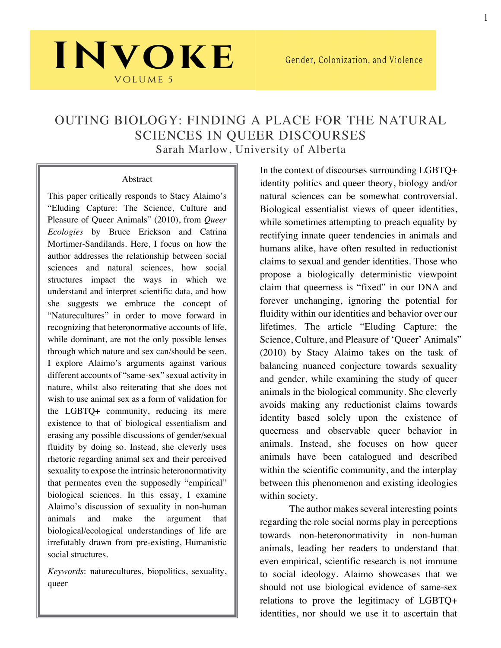### OUTING BIOLOGY: FINDING A PLACE FOR THE NATURAL SCIENCES IN QUEER DISCOURSES Sarah Marlow, University of Alberta

#### Abstract

INVOKE

VOLUME 5

This paper critically responds to Stacy Alaimo's "Eluding Capture: The Science, Culture and Pleasure of Queer Animals" (2010), from *Queer Ecologies* by Bruce Erickson and Catrina Mortimer-Sandilands. Here, I focus on how the author addresses the relationship between social sciences and natural sciences, how social structures impact the ways in which we understand and interpret scientific data, and how she suggests we embrace the concept of "Naturecultures" in order to move forward in recognizing that heteronormative accounts of life, while dominant, are not the only possible lenses through which nature and sex can/should be seen. I explore Alaimo's arguments against various different accounts of "same-sex" sexual activity in nature, whilst also reiterating that she does not wish to use animal sex as a form of validation for the LGBTQ+ community, reducing its mere existence to that of biological essentialism and erasing any possible discussions of gender/sexual fluidity by doing so. Instead, she cleverly uses rhetoric regarding animal sex and their perceived sexuality to expose the intrinsic heteronormativity that permeates even the supposedly "empirical" biological sciences. In this essay, I examine Alaimo's discussion of sexuality in non-human animals and make the argument that biological/ecological understandings of life are irrefutably drawn from pre-existing, Humanistic social structures.

*Keywords*: naturecultures, biopolitics, sexuality, queer

In the context of discourses surrounding LGBTQ+ identity politics and queer theory, biology and/or natural sciences can be somewhat controversial. Biological essentialist views of queer identities, while sometimes attempting to preach equality by rectifying innate queer tendencies in animals and humans alike, have often resulted in reductionist claims to sexual and gender identities. Those who propose a biologically deterministic viewpoint claim that queerness is "fixed" in our DNA and forever unchanging, ignoring the potential for fluidity within our identities and behavior over our lifetimes. The article "Eluding Capture: the Science, Culture, and Pleasure of 'Queer' Animals" (2010) by Stacy Alaimo takes on the task of balancing nuanced conjecture towards sexuality and gender, while examining the study of queer animals in the biological community. She cleverly avoids making any reductionist claims towards identity based solely upon the existence of queerness and observable queer behavior in animals. Instead, she focuses on how queer animals have been catalogued and described within the scientific community, and the interplay between this phenomenon and existing ideologies within society.

The author makes several interesting points regarding the role social norms play in perceptions towards non-heteronormativity in non-human animals, leading her readers to understand that even empirical, scientific research is not immune to social ideology. Alaimo showcases that we should not use biological evidence of same-sex relations to prove the legitimacy of LGBTQ+ identities, nor should we use it to ascertain that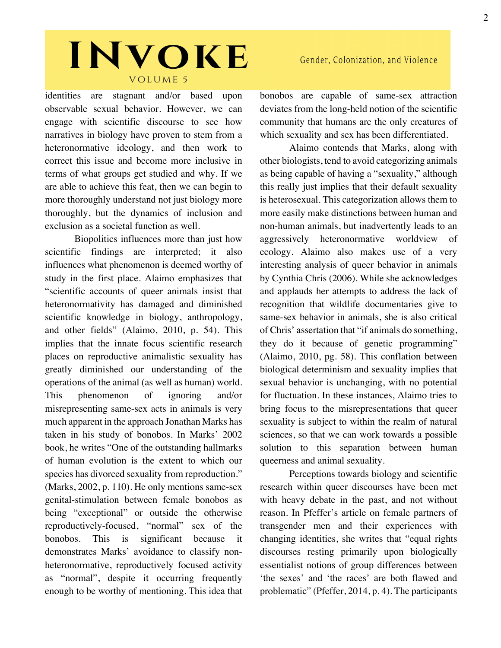## INVOKE VOLUME 5

identities are stagnant and/or based upon observable sexual behavior. However, we can engage with scientific discourse to see how narratives in biology have proven to stem from a heteronormative ideology, and then work to correct this issue and become more inclusive in terms of what groups get studied and why. If we are able to achieve this feat, then we can begin to more thoroughly understand not just biology more thoroughly, but the dynamics of inclusion and exclusion as a societal function as well.

Biopolitics influences more than just how scientific findings are interpreted; it also influences what phenomenon is deemed worthy of study in the first place. Alaimo emphasizes that "scientific accounts of queer animals insist that heteronormativity has damaged and diminished scientific knowledge in biology, anthropology, and other fields" (Alaimo, 2010, p. 54). This implies that the innate focus scientific research places on reproductive animalistic sexuality has greatly diminished our understanding of the operations of the animal (as well as human) world. This phenomenon of ignoring and/or misrepresenting same-sex acts in animals is very much apparent in the approach Jonathan Marks has taken in his study of bonobos. In Marks' 2002 book, he writes "One of the outstanding hallmarks of human evolution is the extent to which our species has divorced sexuality from reproduction." (Marks, 2002, p. 110). He only mentions same-sex genital-stimulation between female bonobos as being "exceptional" or outside the otherwise reproductively-focused, "normal" sex of the bonobos. This is significant because it demonstrates Marks' avoidance to classify nonheteronormative, reproductively focused activity as "normal", despite it occurring frequently enough to be worthy of mentioning. This idea that bonobos are capable of same-sex attraction deviates from the long-held notion of the scientific community that humans are the only creatures of which sexuality and sex has been differentiated.

Alaimo contends that Marks, along with other biologists, tend to avoid categorizing animals as being capable of having a "sexuality," although this really just implies that their default sexuality is heterosexual. This categorization allows them to more easily make distinctions between human and non-human animals, but inadvertently leads to an aggressively heteronormative worldview of ecology. Alaimo also makes use of a very interesting analysis of queer behavior in animals by Cynthia Chris (2006). While she acknowledges and applauds her attempts to address the lack of recognition that wildlife documentaries give to same-sex behavior in animals, she is also critical of Chris' assertation that "if animals do something, they do it because of genetic programming" (Alaimo, 2010, pg. 58). This conflation between biological determinism and sexuality implies that sexual behavior is unchanging, with no potential for fluctuation. In these instances, Alaimo tries to bring focus to the misrepresentations that queer sexuality is subject to within the realm of natural sciences, so that we can work towards a possible solution to this separation between human queerness and animal sexuality.

Perceptions towards biology and scientific research within queer discourses have been met with heavy debate in the past, and not without reason. In Pfeffer's article on female partners of transgender men and their experiences with changing identities, she writes that "equal rights discourses resting primarily upon biologically essentialist notions of group differences between 'the sexes' and 'the races' are both flawed and problematic" (Pfeffer, 2014, p. 4). The participants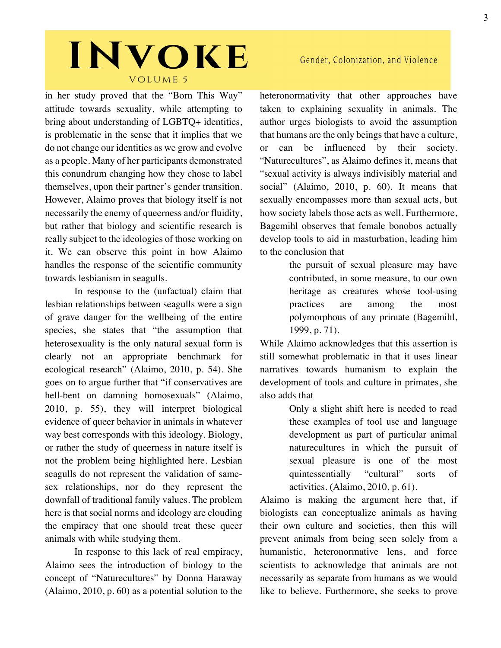# INVOKE VOLUME 5

in her study proved that the "Born This Way" attitude towards sexuality, while attempting to bring about understanding of LGBTQ+ identities, is problematic in the sense that it implies that we do not change our identities as we grow and evolve as a people. Many of her participants demonstrated this conundrum changing how they chose to label themselves, upon their partner's gender transition. However, Alaimo proves that biology itself is not necessarily the enemy of queerness and/or fluidity, but rather that biology and scientific research is really subject to the ideologies of those working on it. We can observe this point in how Alaimo handles the response of the scientific community towards lesbianism in seagulls.

In response to the (unfactual) claim that lesbian relationships between seagulls were a sign of grave danger for the wellbeing of the entire species, she states that "the assumption that heterosexuality is the only natural sexual form is clearly not an appropriate benchmark for ecological research" (Alaimo, 2010, p. 54). She goes on to argue further that "if conservatives are hell-bent on damning homosexuals" (Alaimo, 2010, p. 55), they will interpret biological evidence of queer behavior in animals in whatever way best corresponds with this ideology. Biology, or rather the study of queerness in nature itself is not the problem being highlighted here. Lesbian seagulls do not represent the validation of samesex relationships, nor do they represent the downfall of traditional family values. The problem here is that social norms and ideology are clouding the empiracy that one should treat these queer animals with while studying them.

In response to this lack of real empiracy, Alaimo sees the introduction of biology to the concept of "Naturecultures" by Donna Haraway (Alaimo, 2010, p. 60) as a potential solution to the

### Gender, Colonization, and Violence

heteronormativity that other approaches have taken to explaining sexuality in animals. The author urges biologists to avoid the assumption that humans are the only beings that have a culture, or can be influenced by their society. "Naturecultures", as Alaimo defines it, means that "sexual activity is always indivisibly material and social" (Alaimo, 2010, p. 60). It means that sexually encompasses more than sexual acts, but how society labels those acts as well. Furthermore, Bagemihl observes that female bonobos actually develop tools to aid in masturbation, leading him to the conclusion that

> the pursuit of sexual pleasure may have contributed, in some measure, to our own heritage as creatures whose tool-using practices are among the most polymorphous of any primate (Bagemihl, 1999, p. 71).

While Alaimo acknowledges that this assertion is still somewhat problematic in that it uses linear narratives towards humanism to explain the development of tools and culture in primates, she also adds that

> Only a slight shift here is needed to read these examples of tool use and language development as part of particular animal naturecultures in which the pursuit of sexual pleasure is one of the most quintessentially "cultural" sorts of activities. (Alaimo, 2010, p. 61).

Alaimo is making the argument here that, if biologists can conceptualize animals as having their own culture and societies, then this will prevent animals from being seen solely from a humanistic, heteronormative lens, and force scientists to acknowledge that animals are not necessarily as separate from humans as we would like to believe. Furthermore, she seeks to prove